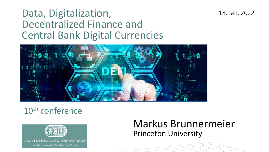### Data, Digitalization, Decentralized Finance and Central Bank Digital Currencies



### 18. Jan. 2022

### 10th conference



Markus Brunnermeier Princeton University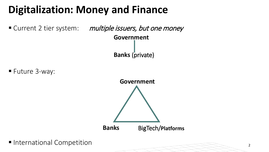

### **Digitalization: Money and Finance**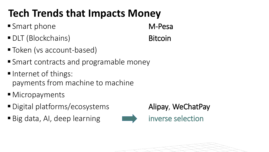## **Tech Trends that Impacts Money**

- Smart phone M-Pesa
- DLT (Blockchains) Bitcoin
- Token (vs account-based)
- Smart contracts and programable money
- Internet of things: payments from machine to machine
- Micropayments
- Digital platforms/ecosystems **Alipay, WeChatPay**
- Big data, AI, deep learning **inverse selection**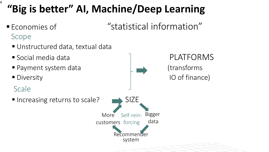- Economies of "statistical information" Scope
	- Unstructured data, textual data
	-
	-
	-
	- Scale





## **"Big is better" AI, Machine/Deep Learning**

4

 $\blacksquare$  Increasing returns to scale?  $\blacksquare$  SIZE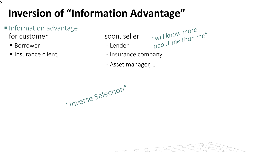- Insurance client, … Insurance company
	- Asset manager, …

"Inverse Selection"



## **Inversion of "Information Advantage"**

- **Information advantage** for customer soon, seller
	- Borrower Lender

5

"will know more"<br>about me than me"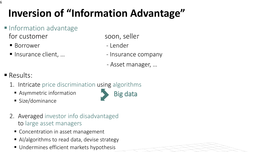- Insurance client, … Insurance company
	- Asset manager, …

- **Results:** 
	- 1. Intricate price discrimination using algorithms
		- Asymmetric information
		- **Size/dominance**

- 2. Averaged investor info disadvantaged to large asset managers
	- Concentration in asset management
	- Al/algorithms to read data, devise strategy
	- **Undermines efficient markets hypothesis**

## **Inversion of "Information Advantage"**

- **Information advantage** for customer soon, seller
	- Borrower Lender
	-

| <b>CONTRACTOR</b> |  |
|-------------------|--|
|                   |  |
|                   |  |
|                   |  |
|                   |  |
|                   |  |
|                   |  |
|                   |  |
|                   |  |
|                   |  |
|                   |  |
|                   |  |
|                   |  |
|                   |  |
|                   |  |

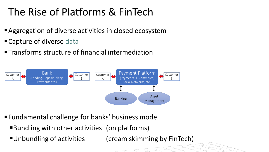### The Rise of Platforms & FinTech

- Aggregation of diverse activities in closed ecosystem
- Capture of diverse data
- **The Transforms structure of financial intermediation**



- Fundamental challenge for banks' business model
	- Bundling with other activities (on platforms)
	-

Unbundling of activities (cream skimming by FinTech)

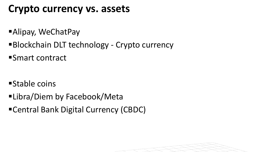### **Crypto currency vs. assets**

- Alipay, WeChatPay
- **Blockchain DLT technology Crypto currency**
- Smart contract

- Stable coins
- Libra/Diem by Facebook/Meta
- Central Bank Digital Currency (CBDC)

| <b>CONTRACTOR</b> |  |
|-------------------|--|
|                   |  |
|                   |  |
|                   |  |
|                   |  |
|                   |  |
|                   |  |
|                   |  |
|                   |  |
|                   |  |
|                   |  |
|                   |  |
|                   |  |
|                   |  |
|                   |  |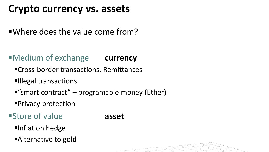### **Crypto currency vs. assets**

Where does the value come from?

- Cross-border transactions, Remittances
- **Illegal transactions**
- $"$ smart contract" programable money (Ether)
- **Privacy protection**
- Store of value **asset**
	- **Finflation hedge**
	- **Alternative to gold**

| <b>CONTRACTOR</b> |  |
|-------------------|--|
|                   |  |
|                   |  |
|                   |  |
|                   |  |
|                   |  |
|                   |  |
|                   |  |
|                   |  |
|                   |  |
|                   |  |
|                   |  |
|                   |  |
|                   |  |
|                   |  |

### Medium of exchange **currency**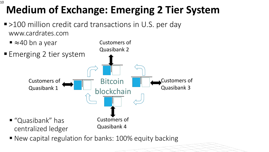■ >100 million credit card transactions in U.S. per day www.cardrates.com



■ New capital regulation for banks: 100% equity backing



## **Medium of Exchange: Emerging 2 Tier System**



10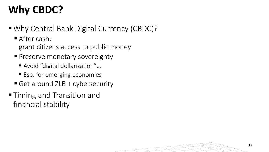- Why Central Bank Digital Currency (CBDC)?
	- After cash: grant citizens access to public money
	- **Preserve monetary sovereignty** 
		- Avoid "digital dollarization"...
		- Esp. for emerging economies
	- Get around  $ZLB + cybersecurity$
- **Timing and Transition and** financial stability

## **Why CBDC?**

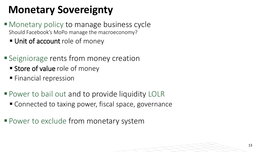### **Monetary Sovereignty**

- Monetary policy to manage business cycle Should Facebook's MoPo manage the macroeconomy?
	- **Unit of account role of money**
- **Seigniorage rents from money creation** 
	- **Store of value** role of money
	- **Financial repression**
- **Power to bail out and to provide liquidity LOLR** 
	- Connected to taxing power, fiscal space, governance
- Power to exclude from monetary system

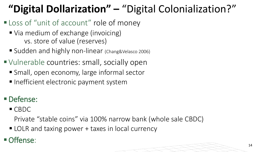CBDC

Private "stable coins" via 100% narrow bank (whole sale CBDC)

■ LOLR and taxing power + taxes in local currency

### $\blacksquare$  Offense:

## **"Digital Dollarization" –** "Digital Colonialization?"

- **Loss of "unit of account" role of money** 
	- Via medium of exchange (invoicing) vs. store of value (reserves)
	- Sudden and highly non-linear (Chang&Velasco 2006)
- Vulnerable countries: small, socially open
	- Small, open economy, large informal sector
	- Inefficient electronic payment system

### Defense:

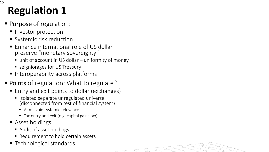## **Regulation 1**

- **Purpose of regulation:** 
	- **Investor protection**
	- **Systemic risk reduction**
	- Enhance international role of US dollar –<br>preserve "monetary sovereignty"
		- $\blacksquare$  unit of account in US dollar uniformity of money
		- seigniorages for US Treasury
	- Interoperability across platforms
- **Points** of regulation: What to regulate?
	- Entry and exit points to dollar (exchanges)
		- **In Isolated separate unregulated universe** (disconnected from rest of financial system)
			- Aim: avoid systemic relevance
			- Tax entry and exit (e.g. capital gains tax)
	- Asset holdings
		- Audit of asset holdings
		- Requirement to hold certain assets
	- Technological standards

| <b>CONTRACTOR</b> |  |
|-------------------|--|
|                   |  |
|                   |  |
|                   |  |
|                   |  |
|                   |  |
|                   |  |
|                   |  |
|                   |  |
|                   |  |
|                   |  |
|                   |  |
|                   |  |
|                   |  |
|                   |  |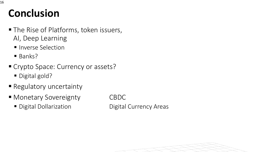### **Conclusion**

16

- The Rise of Platforms, token issuers, AI, Deep Learning
	- **Inverse Selection**
	- **Banks?**
- Crypto Space: Currency or assets?
	- Digital gold?
- **Regulatory uncertainty**
- Monetary Sovereignty CBDC
	-

■ Digital Dollarization **Digital Currency Areas** 

| <b>CONTRACTOR</b> |  |
|-------------------|--|
|                   |  |
|                   |  |
|                   |  |
|                   |  |
|                   |  |
|                   |  |
|                   |  |
|                   |  |
|                   |  |
|                   |  |
|                   |  |
|                   |  |
|                   |  |
|                   |  |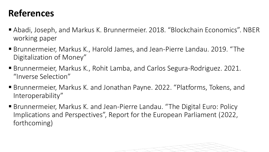- Abadi, Joseph, and Markus K. Brunnermeier. 2018. "Blockchain Economics". NBER working paper
- Brunnermeier, Markus K., Harold James, and Jean-Pierre Landau. 2019. "The Digitalization of Money"
- Brunnermeier, Markus K., Rohit Lamba, and Carlos Segura-Rodriguez. 2021. "Inverse Selection"
- Brunnermeier, Markus K. and Jonathan Payne. 2022. "Platforms, Tokens, and Interoperability"
- Brunnermeier, Markus K. and Jean-Pierre Landau. "The Digital Euro: Policy Implications and Perspectives", Report for the European Parliament (2022, forthcoming)

### **References**